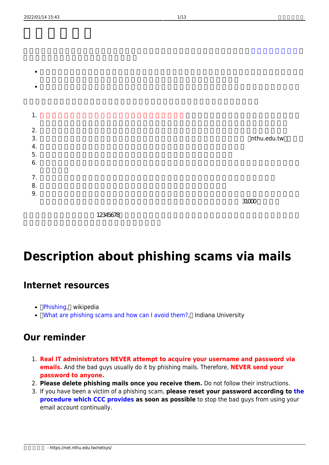| $\bullet$ |               |
|-----------|---------------|
|           |               |
| 1.        |               |
|           |               |
| 2.        |               |
| 3.        | []nthu.edu.tw |
| 4.        |               |
| 5.        |               |
| 6.        |               |
|           |               |
| 7.        |               |
| 8.        |               |
| 9.        |               |
|           | 31000         |

此外,若密碼太簡單〈如:12345678〉容易被不法人士猜中,為保障您使用網路安全,**建議加強密碼強度**

**或不定期更改密碼,以減少密碼外洩所造成的損失**。

# **Description about phishing scams via mails**

## **Internet resources**

•  $\Box$ Phishing, $\Box$  wikipedia

- https://net.nthu.edu.tw/netsys/

• [What are phishing scams and how can I avoid them?, [] Indiana University

# **Our reminder**

- 1. **Real IT administrators NEVER attempt to acquire your username and password via emails.** And the bad guys usually do it by phishing mails. Therefore, **NEVER send your password to anyone.**
- 2. **Please delete phishing mails once you receive them.** Do not follow their instructions.
- 3. If you have been a victim of a phishing scam, **please reset your password according to [the](https://net.nthu.edu.tw/netsys/en:service:portal:set_password) [procedure which CCC provides](https://net.nthu.edu.tw/netsys/en:service:portal:set_password) as soon as possible** to stop the bad guys from using your email account continually.

 $\bullet$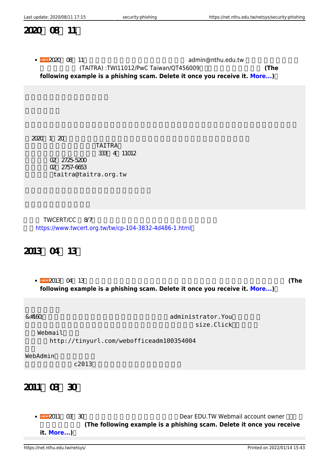#### 2020 08 11

• NEW 2020 08 11 admin@nthu.edu.tw  $\begin{array}{c}$  (TAITRA) :TWI11012/PwC Taiwan/QT456009 $\Box$ **following example is a phishing scam. Delete it once you receive it. [More...](#page--1-0)):**

 $2020 \quad 1 \quad 20$  $\Box$ TAITRA $\Box$ 333 4 11012 02 2725-5200 传真:(02)2757-6653

 $\Box$ taitra@taitra.org.tw

TWCERT/CC 8/7 https://www.twcert.org.tw/tw/cp-104-3832-4d486-1.html

### **2013 04 13**

2013年04月13日(六)有用戶收到詐騙信主旨為「 帳戶維護計劃 」,**詐騙信內文如下所示 (The following example is a phishing scam. Delete it once you receive it. [More...](#page--1-0))**  您的帳戶已達到配額限制的電子郵件設置由您的administrator.You不能夠發送 size.Click∏ Webmail http://tinyurl.com/webofficeadm100354004 WebAdmin c2013 **2011 03 30** • NEW 2011 CB 30 **CONFIDENT CONTROLLY SETTING THE REDU.TW Webmail account owner III (The following example is a phishing scam. Delete it once you receive it. [More...](#page--1-0)**)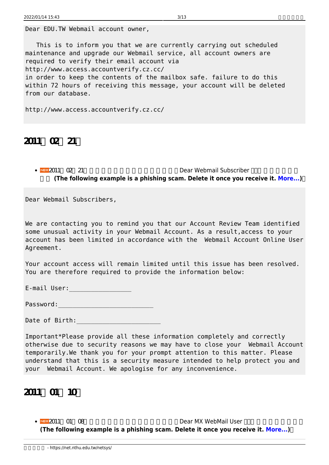Dear EDU.TW Webmail account owner,

 This is to inform you that we are currently carrying out scheduled maintenance and upgrade our Webmail service, all account owners are required to verify their email account via http://www.access.accountverify.cz.cc/ in order to keep the contents of the mailbox safe. failure to do this within 72 hours of receiving this message, your account will be deleted from our database.

http://www.access.accountverify.cz.cc/

**2011 02 21** 

• NEW 2011 CC 21 **Dear Webmail Subscriber** <sub>□</sub> **(The following example is a phishing scam. Delete it once you receive it. [More...](#page--1-0))** 

Dear Webmail Subscribers,

We are contacting you to remind you that our Account Review Team identified some unusual activity in your Webmail Account. As a result,access to your account has been limited in accordance with the Webmail Account Online User Agreement.

Your account access will remain limited until this issue has been resolved. You are therefore required to provide the information below:

E-mail User:\_\_\_\_\_\_\_\_\_\_\_\_\_\_\_\_\_

Password:

Date of Birth:

Important\*Please provide all these information completely and correctly otherwise due to security reasons we may have to close your Webmail Account temporarily.We thank you for your prompt attention to this matter. Please understand that this is a security measure intended to help protect you and your Webmail Account. We apologise for any inconvenience.

#### **2011 01 10**

• NEW 2011 O1 O8 **Dear MX WebMail User I (The following example is a phishing scam. Delete it once you receive it. [More...\)](#page--1-0):**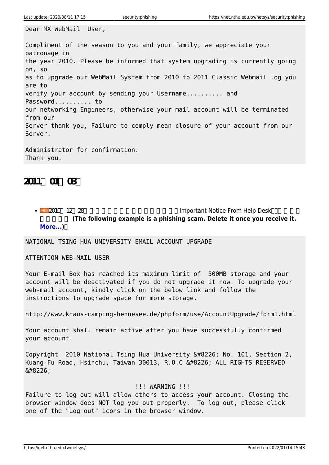Dear MX WebMail User,

Compliment of the season to you and your family, we appreciate your patronage in the year 2010. Please be informed that system upgrading is currently going on, so as to upgrade our WebMail System from 2010 to 2011 Classic Webmail log you are to verify your account by sending your Username.......... and Password.......... to our networking Engineers, otherwise your mail account will be terminated from our Server thank you, Failure to comply mean closure of your account from our Server. Administrator for confirmation.

Thank you.

**2011 01 03** 

• **NEW** 2010 12 28 **12 A** T Important Notice From Help Desk **(The following example is a phishing scam. Delete it once you receive it. [More...](#page--1-0)**) $\Box$ 

NATIONAL TSING HUA UNIVERSITY EMAIL ACCOUNT UPGRADE

ATTENTION WEB-MAIL USER

Your E-mail Box has reached its maximum limit of 500MB storage and your account will be deactivated if you do not upgrade it now. To upgrade your web-mail account, kindly click on the below link and follow the instructions to upgrade space for more storage.

http://www.knaus-camping-hennesee.de/phpform/use/AccountUpgrade/form1.html

Your account shall remain active after you have successfully confirmed your account.

Copyright 2010 National Tsing Hua University • No. 101, Section 2, Kuang-Fu Road, Hsinchu, Taiwan 30013, R.O.C • ALL RIGHTS RESERVED  $•:$ 

#### !!! WARNING !!!

Failure to log out will allow others to access your account. Closing the browser window does NOT log you out properly. To log out, please click one of the "Log out" icons in the browser window.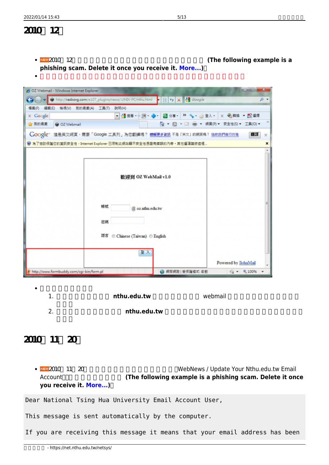### **2010** 12

**•**  $\frac{1}{2010}$  12 **phishing scam. Delete it once you receive it. [More...\)](#page--1-0):**



2. 下方**「執行」連結非本校 nthu.edu.tw 網域**,當使用者輸入密碼按執行後,密碼送至該惡意

### **2010 11 20**

• NEW 2010 11 20 **Integral Contract Contract Contract Contract Contract Contract Contract Contract Contract Contract Contract Contract Contract Contract Contract Contract Contract Contract Contract Contract Contract Contra** Account<sup>I</sup> **you receive it. [More...](#page--1-0))** 

Dear National Tsing Hua University Email Account User,

This message is sent automatically by the computer.

If you are receiving this message it means that your email address has been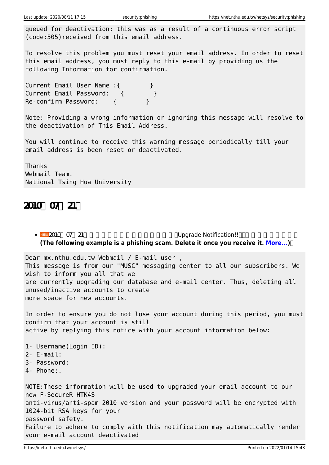queued for deactivation; this was as a result of a continuous error script (code:505)received from this email address.

To resolve this problem you must reset your email address. In order to reset this email address, you must reply to this e-mail by providing us the following Information for confirmation.

Current Email User Name : { } Current Email Password: { } Re-confirm Password: { }

Note: Providing a wrong information or ignoring this message will resolve to the deactivation of This Email Address.

You will continue to receive this warning message periodically till your email address is been reset or deactivated.

Thanks Webmail Team. National Tsing Hua University

### **2010 07 21**

• **NEW** 2010 07 21 **Example 2010** 12 TUpgrade Notification!! **(The following example is a phishing scam. Delete it once you receive it. [More...\)](#page--1-0):**

Dear mx.nthu.edu.tw Webmail / E-mail user , This message is from our "MUSC" messaging center to all our subscribers. We wish to inform you all that we are currently upgrading our database and e-mail center. Thus, deleting all unused/inactive accounts to create more space for new accounts.

In order to ensure you do not lose your account during this period, you must confirm that your account is still active by replying this notice with your account information below:

1- Username(Login ID):

- 2- E-mail:
- 3- Password:
- 4- Phone:.

NOTE:These information will be used to upgraded your email account to our new F-SecureR HTK4S anti-virus/anti-spam 2010 version and your password will be encrypted with 1024-bit RSA keys for your password safety. Failure to adhere to comply with this notification may automatically render your e-mail account deactivated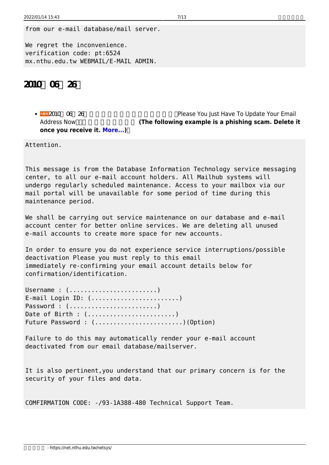from our e-mail database/mail server.

We regret the inconvenience. verification code: pt:6524 mx.nthu.edu.tw WEBMAIL/E-MAIL ADMIN.

### 2010 06 26

#### •  $\frac{1}{2010}$  C6 26  $\frac{26}{100}$  C6 26 Address Now  $\Box$  **(The following example is a phishing scam. Delete it once you receive it. [More...](#page--1-0)**)

Attention.

This message is from the Database Information Technology service messaging center, to all our e-mail account holders. All Mailhub systems will undergo regularly scheduled maintenance. Access to your mailbox via our mail portal will be unavailable for some period of time during this maintenance period.

We shall be carrying out service maintenance on our database and e-mail account center for better online services. We are deleting all unused e-mail accounts to create more space for new accounts.

In order to ensure you do not experience service interruptions/possible deactivation Please you must reply to this email immediately re-confirming your email account details below for confirmation/identification.

Username : (..........................) E-mail Login ID: (..........................) Password : (..........................) Date of Birth : (..........................) Future Password : (........................)(Option)

Failure to do this may automatically render your e-mail account deactivated from our email database/mailserver.

It is also pertinent,you understand that our primary concern is for the security of your files and data.

COMFIRMATION CODE: -/93-1A388-480 Technical Support Team.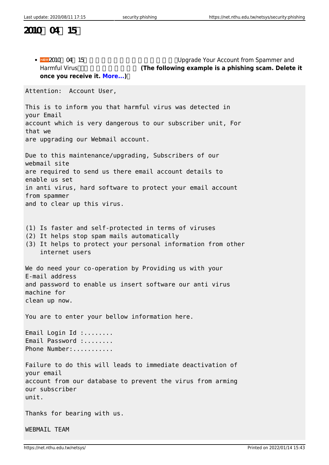### **2010 04 15**

• NEW 2010 04 15 **DEAPA EXECOUNT CONTROL** FOUR ACCOUNT from Spammer and Harmful Virus<sup> **The following example is a phishing scam. Delete it**</sup> **once you receive it. [More...](#page--1-0)):** Attention: Account User, This is to inform you that harmful virus was detected in your Email account which is very dangerous to our subscriber unit, For that we are upgrading our Webmail account. Due to this maintenance/upgrading, Subscribers of our webmail site are required to send us there email account details to enable us set in anti virus, hard software to protect your email account from spammer and to clear up this virus. (1) Is faster and self-protected in terms of viruses (2) It helps stop spam mails automatically (3) It helps to protect your personal information from other internet users We do need your co-operation by Providing us with your E-mail address and password to enable us insert software our anti virus machine for clean up now. You are to enter your bellow information here. Email Login Id :........ Email Password :........ Phone Number:.......... Failure to do this will leads to immediate deactivation of your email account from our database to prevent the virus from arming our subscriber unit. Thanks for bearing with us. WEBMAIL TEAM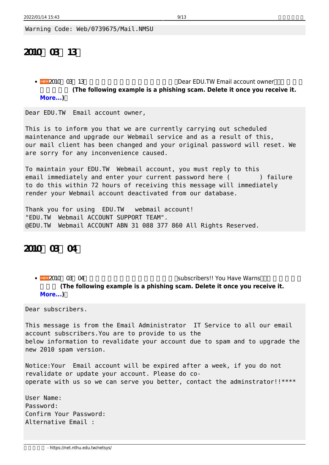Warning Code: Web/0739675/Mail.NMSU

**2010 03 13** 

• NEW 2010 CB 13 **CONFIDER EDU.TW Email account owner** I **文如下所示 (The following example is a phishing scam. Delete it once you receive it. [More...](#page--1-0)**)□

Dear EDU.TW Email account owner,

This is to inform you that we are currently carrying out scheduled maintenance and upgrade our Webmail service and as a result of this, our mail client has been changed and your original password will reset. We are sorry for any inconvenience caused.

To maintain your EDU.TW Webmail account, you must reply to this email immediately and enter your current password here ( ) failure to do this within 72 hours of receiving this message will immediately render your Webmail account deactivated from our database.

Thank you for using EDU.TW webmail account! "EDU.TW Webmail ACCOUNT SUPPORT TEAM". @EDU.TW Webmail ACCOUNT ABN 31 088 377 860 All Rights Reserved.

### 2010 03 04

• NEW 2010 CB O4 **FILM** FOR THE RESERVENT SUBSCRIBERS!! You Have Warns **(The following example is a phishing scam. Delete it once you receive it. [More...](#page--1-0)**) $\Box$ 

Dear subscribers.

This message is from the Email Administrator IT Service to all our email account subscribers.You are to provide to us the below information to revalidate your account due to spam and to upgrade the new 2010 spam version.

Notice:Your Email account will be expired after a week, if you do not revalidate or update your account. Please do cooperate with us so we can serve you better, contact the adminstrator!!\*\*\*\*

User Name: Password: Confirm Your Password: Alternative Email :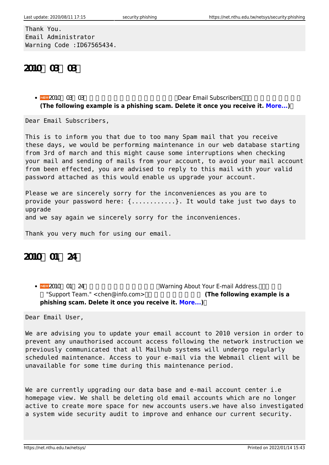Thank You. Email Administrator Warning Code :ID67565434.

### 2010 03 03

• **NEW** 2010 CB CB COS **(The following example is a phishing scam. Delete it once you receive it. [More...\)](#page--1-0):**

Dear Email Subscribers,

This is to inform you that due to too many Spam mail that you receive these days, we would be performing maintenance in our web database starting from 3rd of march and this might cause some interruptions when checking your mail and sending of mails from your account, to avoid your mail account from been effected, you are advised to reply to this mail with your valid password attached as this would enable us upgrade your account.

Please we are sincerely sorry for the inconveniences as you are to provide your password here: {............}. It would take just two days to upgrade

and we say again we sincerely sorry for the inconveniences.

Thank you very much for using our email.

### **2010 01 24**

•  $\frac{1}{2010}$  01 24  $\frac{1}{2010}$  O1 24  $\frac{1}{2010}$   $\frac{1}{2010}$   $\frac{1}{2010}$   $\frac{1}{2010}$   $\frac{1}{2010}$   $\frac{1}{2010}$   $\frac{1}{2010}$   $\frac{1}{2010}$   $\frac{1}{2010}$   $\frac{1}{2010}$   $\frac{1}{2010}$   $\frac{1}{2010}$   $\frac{1}{2010}$   $\frac{1}{2010}$ "Support Team." <chen@info.com> $\Box$  **(The following example is a phishing scam. Delete it once you receive it. [More...\)](#page--1-0):**

Dear Email User,

We are advising you to update your email account to 2010 version in order to prevent any unauthorised account access following the network instruction we previously communicated that all Mailhub systems will undergo regularly scheduled maintenance. Access to your e-mail via the Webmail client will be unavailable for some time during this maintenance period.

We are currently upgrading our data base and e-mail account center i.e homepage view. We shall be deleting old email accounts which are no longer active to create more space for new accounts users.we have also investigated a system wide security audit to improve and enhance our current security.

https://net.nthu.edu.tw/netsys/ Printed on 2022/01/14 15:43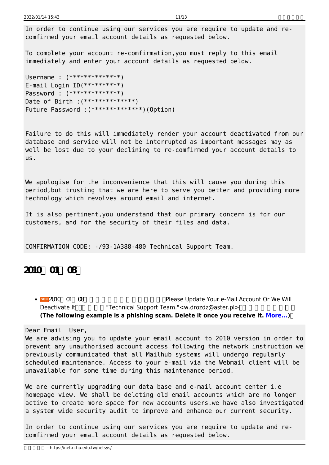In order to continue using our services you are require to update and recomfirmed your email account details as requested below.

To complete your account re-comfirmation,you must reply to this email immediately and enter your account details as requested below.

```
Username : (**************)
E-mail Login ID(**********)
Password : (**************)
Date of Birth : (***************)
Future Password :(**************)(Option)
```
Failure to do this will immediately render your account deactivated from our database and service will not be interrupted as important messages may as well be lost due to your declining to re-comfirmed your account details to us.

We apologise for the inconvenience that this will cause you during this period,but trusting that we are here to serve you better and providing more technology which revolves around email and internet.

It is also pertinent,you understand that our primary concern is for our customers, and for the security of their files and data.

COMFIRMATION CODE: -/93-1A388-480 Technical Support Team.

### **2010 01 08**

•  $N = 2010$  01 08 and  $N = 100$   $N = 100$   $N = 100$   $N = 100$   $N = 100$   $N = 100$   $N = 100$   $N = 100$   $N = 100$   $N = 100$   $N = 100$   $N = 100$   $N = 100$   $N = 100$   $N = 100$   $N = 100$   $N = 100$   $N = 100$   $N = 100$   $N = 100$   $N = 100$   $N = 100$  Deactivate It<sup>
<sub>[1]</sub>  $\blacksquare$  "Technical Support Team."<w.drozdz@aster.pl></sup> **(The following example is a phishing scam. Delete it once you receive it. [More...\)](#page--1-0):**

Dear Email User,

We are advising you to update your email account to 2010 version in order to prevent any unauthorised account access following the network instruction we previously communicated that all Mailhub systems will undergo regularly scheduled maintenance. Access to your e-mail via the Webmail client will be unavailable for some time during this maintenance period.

We are currently upgrading our data base and e-mail account center i.e homepage view. We shall be deleting old email accounts which are no longer active to create more space for new accounts users.we have also investigated a system wide security audit to improve and enhance our current security.

In order to continue using our services you are require to update and recomfirmed your email account details as requested below.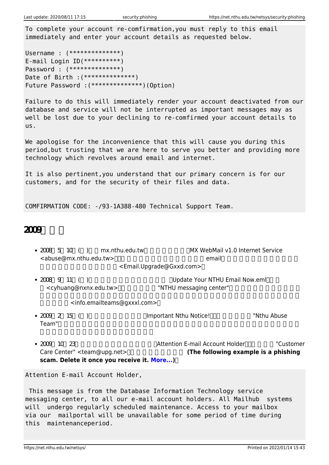To complete your account re-comfirmation,you must reply to this email immediately and enter your account details as requested below.

Username : (\*\*\*\*\*\*\*\*\*\*\*\*\*\*) E-mail Login ID(\*\*\*\*\*\*\*\*\*\*) Password : (\*\*\*\*\*\*\*\*\*\*\*\*\*\*) Date of Birth :(\*\*\*\*\*\*\*\*\*\*\*\*\*\*) Future Password :(\*\*\*\*\*\*\*\*\*\*\*\*\*\*)(Option)

Failure to do this will immediately render your account deactivated from our database and service will not be interrupted as important messages may as well be lost due to your declining to re-comfirmed your account details to us.

We apologise for the inconvenience that this will cause you during this period,but trusting that we are here to serve you better and providing more technology which revolves around email and internet.

It is also pertinent,you understand that our primary concern is for our customers, and for the security of their files and data.

COMFIRMATION CODE: -/93-1A388-480 Technical Support Team.

#### **2009年以前**

- 2008年5月10日(六)部分mx.nthu.edu.tw用戶收到署名為「MX WebMail v1.0 Internet Service <abuse@mx.nthu.edu.tw> $\Pi$ <Email.Upgrade@Gxxd.com>
- 2008年9月11日(四)部分校內老師表示收到主旨為 「Update Your NTHU Email Now.eml」署名 <cyhuang@nxnx.edu.tw>

<info.emailteams@gxxxl.com>∏

- 2009 2 15 () The Figure of The Important Nthu Notice!  $\mathsf{T}$ eam" $\mathsf{C}$
- 2009 10 23 <br>
10 23 Mattention E-mail Account Holder Care Center" <team@upg.net> $\Box$  **(The following example is a phishing scam. Delete it once you receive it. [More...\)](#page--1-0):**

Attention E-mail Account Holder,

 This message is from the Database Information Technology service messaging center, to all our e-mail account holders. All Mailhub systems will undergo regularly scheduled maintenance. Access to your mailbox via our mailportal will be unavailable for some period of time during this maintenanceperiod.